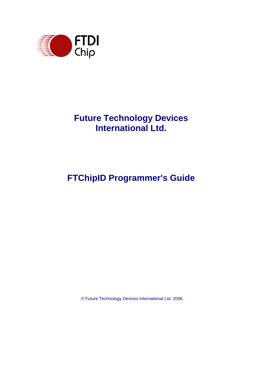

## **Future Technology Devices International Ltd.**

# **FTChipID Programmer's Guide**

© Future Technology Devices International Ltd. 2006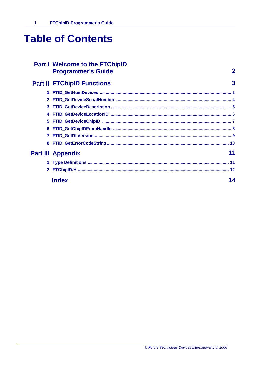# **Table of Contents**

# **Part I Welcome to the FTChipID<br>Programmer's Guide**

## **Part II FTChipID Functions**

| 6 |                          |  |
|---|--------------------------|--|
|   |                          |  |
| 8 |                          |  |
|   | <b>Part III Appendix</b> |  |
|   |                          |  |
|   |                          |  |
|   | <b>Index</b>             |  |

 $\overline{2}$ 

 $\overline{3}$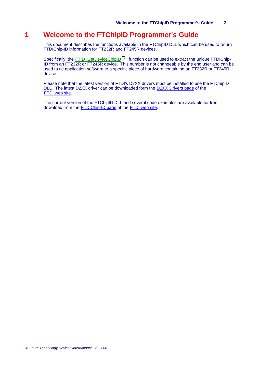## **1 Welcome to the FTChipID Programmer's Guide**

This document describes the functions available in the FTChipID DLL which can be used to return FTDIChip-ID information for FT232R and FT245R devices.

Specifically, the [FTID\\_GetDeviceChipID](#page-7-0)<sup>|</sup>  $\vec{r}$  function can be used to extract the unique FTDIChip-ID from an FT232R or FT245R device. This number is not changeable by the end user and can be used to tie application software to a specific piece of hardware containing an FT232R or FT245R device.

Please note that the latest version of FTDI's D2XX drivers must be installed to use the FTChipID DLL. The latest D2XX driver can be downloaded form the D2XX Drivers page of the FTDI web site.

The current version of the FTChipID DLL and several code examples are available for free download from the [FTDIChip-ID page](http://www.ftdichip.com/Projects/FTDIChip-ID.htm) of the FTDI web site.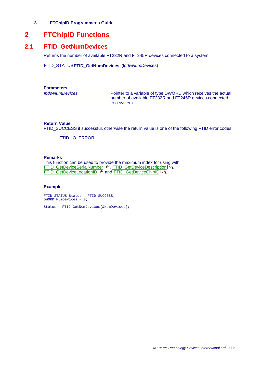## <span id="page-3-0"></span>**2 FTChipID Functions**

## **2.1 FTID\_GetNumDevices**

Returns the number of available FT232R and FT245R devices connected to a system.

FTID\_STATUS**FTID\_GetNumDevices** (l*pdwNumDevices*)

**Parameters**

*lpdwNumDevices* Pointer to a variable of type DWORD which receives the actual number of available FT232R and FT245R devices connected to a system

## **Return Value**

FTID\_SUCCESS if successful, otherwise the return value is one of the following FTID error codes:

FTID\_IO\_ERROR

#### **Remarks**

This function can be used to provide the maximum index for using with [FTID\\_GetDeviceSerialNumber](#page-4-0) 4 4, [FTID\\_GetDeviceDescription](#page-5-0) 5 5,  $\tt FTID\_GetDeviceLocationID|$  ବ୍ୟକ୍ଷ and  $\tt FTID\_GetDeviceChipID|$  7 $\uparrow$ .

#### **Example**

FTID STATUS Status = FTID\_SUCCESS; DWORD NumDevices = 0;

Status = FTID\_GetNumDevices(&NumDevices);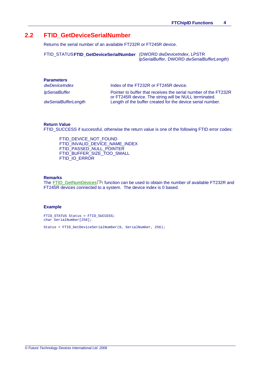## <span id="page-4-0"></span>**2.2 FTID\_GetDeviceSerialNumber**

Returns the serial number of an available FT232R or FT245R device.

FTID\_STATUS**FTID\_GetDeviceSerialNumber** (DWORD *dwDeviceIndex*, LPSTR *lpSerialBuffer*, DWORD *dwSerialBufferLength*)

| <b>Parameters</b>            |                                                                                                                          |
|------------------------------|--------------------------------------------------------------------------------------------------------------------------|
| dwDeviceIndex                | Index of the FT232R or FT245R device.                                                                                    |
| <i><b>IpSerialBuffer</b></i> | Pointer to buffer that receives the serial number of the FT232R<br>or FT245R device. The string will be NULL terminated. |
| dwSerialBufferLength         | Length of the buffer created for the device serial number.                                                               |

#### **Return Value**

FTID\_SUCCESS if successful, otherwise the return value is one of the following FTID error codes:

FTID\_DEVICE\_NOT\_FOUND FTID\_INVALID\_DEVICE\_NAME\_INDEX FTID\_PASSED\_NULL\_POINTER FTID\_BUFFER\_SIZE\_TOO\_SMALL FTID\_IO\_ERROR

#### **Remarks**

The <u>FTID\_GetNumDevices</u> | 3<sup>5</sup> function can be used to obtain the number of available FT232R and FT245R devices connected to a system. The device index is 0 based.

#### **Example**

FTID\_STATUS Status = FTID\_SUCCESS; char SerialNumber[256];

Status = FTID\_GetDeviceSerialNumber(0, SerialNumber, 256);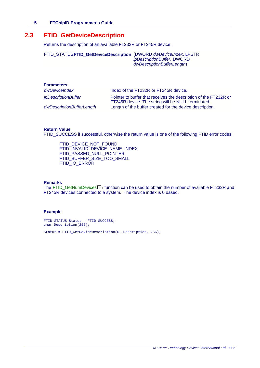## <span id="page-5-0"></span>**2.3 FTID\_GetDeviceDescription**

Returns the description of an available FT232R or FT245R device.

FTID\_STATUS**FTID\_GetDeviceDescription** (DWORD *dwDeviceIndex*, LPSTR *lpDescriptionBuffer*, DWORD *dwDescriptionBufferLength*)

| <b>Parameters</b>          |                                                                                                                        |
|----------------------------|------------------------------------------------------------------------------------------------------------------------|
| dwDeviceIndex              | Index of the FT232R or FT245R device.                                                                                  |
| <i>IpDescriptionBuffer</i> | Pointer to buffer that receives the description of the FT232R or<br>FT245R device. The string will be NULL terminated. |
| dwDescriptionBufferLength  | Length of the buffer created for the device description.                                                               |
|                            |                                                                                                                        |

### **Return Value**

FTID\_SUCCESS if successful, otherwise the return value is one of the following FTID error codes:

FTID\_DEVICE\_NOT\_FOUND FTID\_INVALID\_DEVICE\_NAME\_INDEX FTID\_PASSED\_NULL\_POINTER FTID\_BUFFER\_SIZE\_TOO\_SMALL FTID\_IO\_ERROR

#### **Remarks**

The <u>FTID\_GetNumDevices</u>| 3<sup>5</sup> function can be used to obtain the number of available FT232R and FT245R devices connected to a system. The device index is 0 based.

#### **Example**

FTID\_STATUS Status = FTID\_SUCCESS; char Description[256];

Status = FTID\_GetDeviceDescription(0, Description, 256);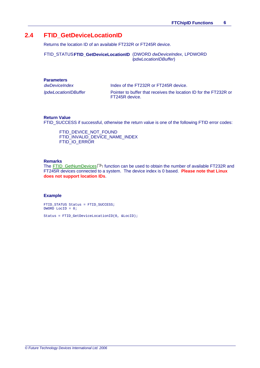## <span id="page-6-0"></span>**2.4 FTID\_GetDeviceLocationID**

Returns the location ID of an available FT232R or FT245R device.

FTID\_STATUS**FTID\_GetDeviceLocationID** (DWORD *dwDeviceIndex*, LPDWORD *lpdwLocationIDBuffer*)

## **Parameters**

*dwDeviceIndex* Index of the FT232R or FT245R device.

*lpdwLocationIDBuffer* Pointer to buffer that receives the location ID for the FT232R or FT245R device.

#### **Return Value**

FTID\_SUCCESS if successful, otherwise the return value is one of the following FTID error codes:

FTID\_DEVICE\_NOT\_FOUND FTID\_INVALID\_DEVICE\_NAME\_INDEX FTID IO ERROR

## **Remarks**

The <u>FTID\_GetNumDevices</u>| 3<sup>5</sup> function can be used to obtain the number of available FT232R and FT245R devices connected to a system. The device index is 0 based. **Please note that Linux does not support location IDs**.

#### **Example**

FTID\_STATUS Status = FTID\_SUCCESS;  $DWORD$  LocID = 0;

Status = FTID\_GetDeviceLocationID(0, &LocID);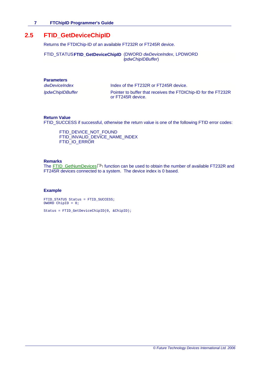## <span id="page-7-0"></span>**2.5 FTID\_GetDeviceChipID**

Returns the FTDIChip-ID of an available FT232R or FT245R device.

FTID\_STATUS**FTID\_GetDeviceChipID** (DWORD *dwDeviceIndex*, LPDWORD *lpdwChipIDBuffer*)

| <b>Parameters</b> |
|-------------------|
|-------------------|

*dwDeviceIndex* Index of the FT232R or FT245R device.

*lpdwChipIDBuffer* Pointer to buffer that receives the FTDIChip-ID for the FT232R or FT245R device.

### **Return Value**

FTID\_SUCCESS if successful, otherwise the return value is one of the following FTID error codes:

FTID\_DEVICE\_NOT\_FOUND FTID\_INVALID\_DEVICE\_NAME\_INDEX FTID IO ERROR

## **Remarks**

The <u>FTID\_GetNumDevices</u>| 3<sup>5</sup> function can be used to obtain the number of available FT232R and FT245R devices connected to a system. The device index is 0 based.

## **Example**

FTID\_STATUS Status = FTID\_SUCCESS; DWORD ChipID = 0;

Status = FTID\_GetDeviceChipID(0, &ChipID);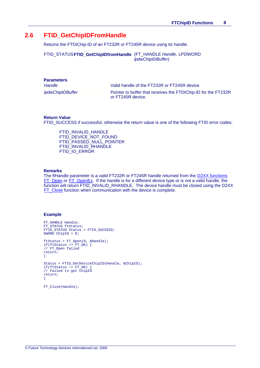## **2.6 FTID\_GetChipIDFromHandle**

Returns the FTDIChip-ID of an FT232R or FT245R device using its handle.

FTID\_STATUS**FTID\_GetChipIDfromHandle** (FT\_HANDLE *Handle*, LPDWORD *lpdwChipIDBuffer*)

| <b>Parameters</b>       |  |
|-------------------------|--|
| Handle                  |  |
| <b>IpdwChipIDBuffer</b> |  |

Valid handle of the FT232R or FT245R device.

Pointer to buffer that receives the FTDIChip-ID for the FT232R or FT245R device.

#### **Return Value**

FTID\_SUCCESS if successful, otherwise the return value is one of the following FTID error codes:

FTID\_INVALID\_HANDLE FTID\_DEVICE\_NOT\_FOUND FTID\_PASSED\_NULL\_POINTER FTID\_INVALID\_RHANDLE FTID IO ERROR

#### **Remarks**

The ftHandle parameter is a valid FT232R or FT245R handle returned from the [D2XX functions](http://www.ftdichip.com/Support/Knowledgebase/d2xxintroduction.htm) [FT\\_Open](http://www.ftdichip.com/Support/Knowledgebase/ft_open.htm) or [FT\\_OpenEx](http://www.ftdichip.com/Support/Knowledgebase/ft_openex.htm). If the handle is for a different device type or is not a valid handle, the function will return FTID\_INVALID\_RHANDLE. The device handle must be closed using the D2XX [FT\\_Close](http://www.ftdichip.com/Support/Knowledgebase/ft_close.htm) function when communication with the device is complete.

### **Example**

```
FT HANDLE Handle;
FT_STATUS ftStatus;
FTID_STATUS Status = FTID_SUCCESS;
DWORD ChipID = 0;
ftStatus = FT_Open(0, &Handle);
if(ftStatus != FT_0K) {
// FT_Open failed
return;
}
Status = FTID_GetDeviceChipID(Handle, &ChipID);
if(ftStatus != FT_OK) {
// Failed to get ChipID
return;
}
```
FT\_Close(Handle);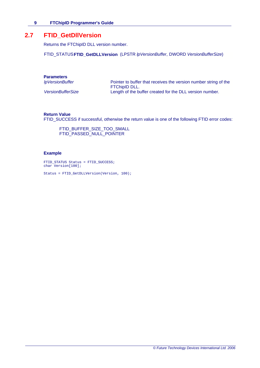## **2.7 FTID\_GetDllVersion**

Returns the FTChipID DLL version number.

FTID\_STATUS**FTID\_GetDLLVersion** (LPSTR *lpVersionBuffer*, DWORD *VersionBufferSize*)

## **Parameters**

| lpVersionBuffer          | Pointer to buffer that receives the version number string of the<br><b>FTChipID DLL.</b> |
|--------------------------|------------------------------------------------------------------------------------------|
| <b>VersionBufferSize</b> | Length of the buffer created for the DLL version number.                                 |

### **Return Value**

FTID\_SUCCESS if successful, otherwise the return value is one of the following FTID error codes:

FTID\_BUFFER\_SIZE\_TOO\_SMALL FTID\_PASSED\_NULL\_POINTER

## **Example**

FTID\_STATUS Status = FTID\_SUCCESS; char Version[100];

Status = FTID\_GetDLLVersion(Version, 100);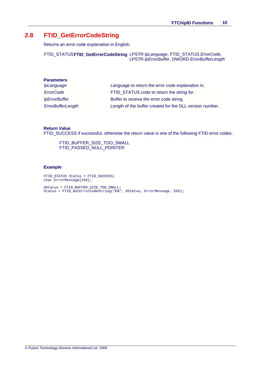## **2.8 FTID\_GetErrorCodeString**

Returns an error code explanation in English.

FTID\_STATUS**FTID\_GetErrorCodeString** LPSTR *lpLanguage*, FTID\_STATUS *ErrorCode*, LPSTR *lpErrorBuffer*, DWORD *ErrorBufferLength*

| <b>Parameters</b>        |                                                          |
|--------------------------|----------------------------------------------------------|
| <i>IpLanguage</i>        | Language to return the error code explanation in.        |
| ErrorCode                | FTID STATUS code to return the string for.               |
| <i>IpErrorBuffer</i>     | Buffer to receive the error code string.                 |
| <b>ErrorBufferLength</b> | Length of the buffer created for the DLL version number. |

## **Return Value**

FTID\_SUCCESS if successful, otherwise the return value is one of the following FTID error codes:

FTID\_BUFFER\_SIZE\_TOO\_SMALL FTID\_PASSED\_NULL\_POINTER

### **Example**

FTID\_STATUS Status = FTID\_SUCCESS; char ErrorMessage[256];

dStatus = FTID\_BUFFER\_SIZE\_TOO\_SMALL; Status = FTID\_GetErrorCodeString("EN", dStatus, ErrorMessage, 256);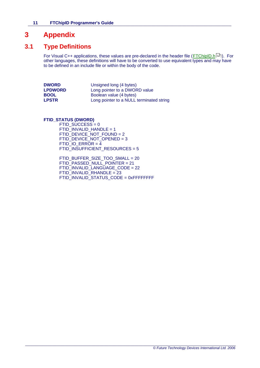## **3 Appendix**

## **3.1 Type Definitions**

For Visual C++ applications, these values are pre-declared in the header file (<u>[FTChipID.h](#page-12-0)</u> <sup>| 12</sup>). For other languages, these definitions will have to be converted to use equivalent types and may have to be defined in an include file or within the body of the code.

| <b>DWORD</b>   | Unsigned long (4 bytes)                  |
|----------------|------------------------------------------|
| <b>LPDWORD</b> | Long pointer to a DWORD value            |
| <b>BOOL</b>    | Boolean value (4 bytes)                  |
| LPSTR          | Long pointer to a NULL terminated string |

**FTID\_STATUS (DWORD)**

 $FTID$ \_SUCCESS = 0  $FTID$  INVALID\_HANDLE = 1 FTID\_DEVICE\_NOT\_FOUND = 2 FTID\_DEVICE\_NOT\_OPENED = 3  $FTID$   $IO$   $ERROR = 4$ FTID\_INSUFFICIENT\_RESOURCES = 5

FTID\_BUFFER\_SIZE\_TOO\_SMALL = 20 FTID\_PASSED\_NULL\_POINTER = 21 FTID\_INVALID\_LANGUAGE\_CODE = 22 FTID\_INVALID\_RHANDLE = 23 FTID\_INVALID\_STATUS\_CODE = 0xFFFFFFFF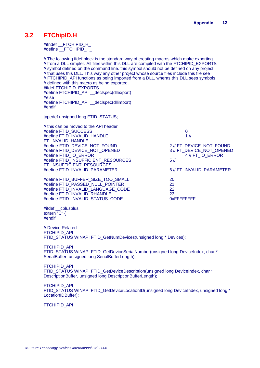## <span id="page-12-0"></span>**3.2 FTChipID.H**

#ifndef \_\_FTCHIPID\_H\_ #define \_\_FTCHIPID\_H\_

// The following ifdef block is the standard way of creating macros which make exporting // from a DLL simpler. All files within this DLL are compiled with the FTCHIPID\_EXPORTS // symbol defined on the command line. this symbol should not be defined on any project // that uses this DLL. This way any other project whose source files include this file see // FTCHIPID\_API functions as being imported from a DLL, wheras this DLL sees symbols // defined with this macro as being exported. #ifdef FTCHIPID\_EXPORTS #define FTCHIPID\_API \_\_declspec(dllexport) #else #define FTCHIPID\_API \_\_declspec(dllimport) #endif

typedef unsigned long FTID\_STATUS;

// this can be moved to the API header #define FTID\_SUCCESS 0<br>#define FTID\_INVALID\_HANDLE 1 // #define FTID\_INVALID\_HANDLE FT\_INVALID\_HANDLE #define FTID\_DEVICE\_NOT\_FOUND 42 // FT\_DEVICE\_NOT\_FOUND #define FTID\_DEVICE\_NOT\_OPENED 3 // FT\_DEVICE\_NOT\_OPENED #define FTID\_IO\_ERROR 4 // FT\_IO\_ERROR #define FTID\_INSUFFICIENT\_RESOURCES 5 // FT\_INSUFFICIENT\_RESOURCES #define FTID\_INVALID\_PARAMETER 6 // FT\_INVALID\_PARAMETER

#define FTID\_BUFFER\_SIZE\_TOO\_SMALL 20 #define FTID\_PASSED\_NULL\_POINTER 21 #define FTID\_INVALID\_LANGUAGE\_CODE #define FTID\_INVALID\_RHANDLE 23 #define FTID\_INVALID\_STATUS\_CODE

#ifdef \_\_cplusplus extern "C" { #endif

// Device Related FTCHIPID\_API FTID\_STATUS WINAPI FTID\_GetNumDevices(unsigned long \* Devices);

FTCHIPID\_API FTID\_STATUS WINAPI FTID\_GetDeviceSerialNumber(unsigned long DeviceIndex, char \* SerialBuffer, unsigned long SerialBufferLength);

FTCHIPID\_API FTID\_STATUS WINAPI FTID\_GetDeviceDescription(unsigned long DeviceIndex, char \* DescriptionBuffer, unsigned long DescriptionBufferLength);

FTCHIPID\_API FTID\_STATUS WINAPI FTID\_GetDeviceLocationID(unsigned long DeviceIndex, unsigned long \* LocationIDBuffer);

FTCHIPID\_API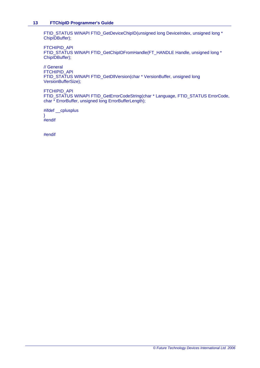FTID\_STATUS WINAPI FTID\_GetDeviceChipID(unsigned long DeviceIndex, unsigned long \* ChipIDBuffer);

FTCHIPID\_API FTID\_STATUS WINAPI FTID\_GetChipIDFromHandle(FT\_HANDLE Handle, unsigned long \* ChipIDBuffer);

// General FTCHIPID\_API FTID\_STATUS WINAPI FTID\_GetDllVersion(char \* VersionBuffer, unsigned long VersionBufferSize);

FTCHIPID\_API

FTID\_STATUS WINAPI FTID\_GetErrorCodeString(char \* Language, FTID\_STATUS ErrorCode, char \* ErrorBuffer, unsigned long ErrorBufferLength);

#ifdef \_\_cplusplus } #endif

#endif